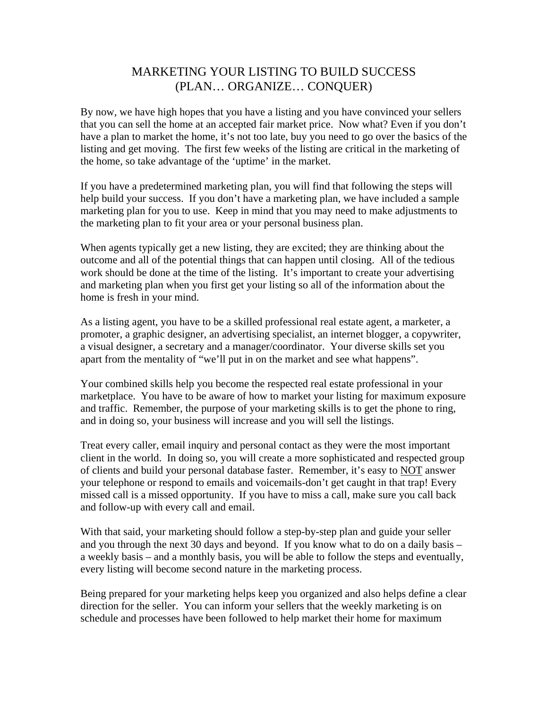## MARKETING YOUR LISTING TO BUILD SUCCESS (PLAN… ORGANIZE… CONQUER)

By now, we have high hopes that you have a listing and you have convinced your sellers that you can sell the home at an accepted fair market price. Now what? Even if you don't have a plan to market the home, it's not too late, buy you need to go over the basics of the listing and get moving. The first few weeks of the listing are critical in the marketing of the home, so take advantage of the 'uptime' in the market.

If you have a predetermined marketing plan, you will find that following the steps will help build your success. If you don't have a marketing plan, we have included a sample marketing plan for you to use. Keep in mind that you may need to make adjustments to the marketing plan to fit your area or your personal business plan.

When agents typically get a new listing, they are excited; they are thinking about the outcome and all of the potential things that can happen until closing. All of the tedious work should be done at the time of the listing. It's important to create your advertising and marketing plan when you first get your listing so all of the information about the home is fresh in your mind.

As a listing agent, you have to be a skilled professional real estate agent, a marketer, a promoter, a graphic designer, an advertising specialist, an internet blogger, a copywriter, a visual designer, a secretary and a manager/coordinator. Your diverse skills set you apart from the mentality of "we'll put in on the market and see what happens".

Your combined skills help you become the respected real estate professional in your marketplace. You have to be aware of how to market your listing for maximum exposure and traffic. Remember, the purpose of your marketing skills is to get the phone to ring, and in doing so, your business will increase and you will sell the listings.

Treat every caller, email inquiry and personal contact as they were the most important client in the world. In doing so, you will create a more sophisticated and respected group of clients and build your personal database faster. Remember, it's easy to NOT answer your telephone or respond to emails and voicemails-don't get caught in that trap! Every missed call is a missed opportunity. If you have to miss a call, make sure you call back and follow-up with every call and email.

With that said, your marketing should follow a step-by-step plan and guide your seller and you through the next 30 days and beyond. If you know what to do on a daily basis – a weekly basis – and a monthly basis, you will be able to follow the steps and eventually, every listing will become second nature in the marketing process.

Being prepared for your marketing helps keep you organized and also helps define a clear direction for the seller. You can inform your sellers that the weekly marketing is on schedule and processes have been followed to help market their home for maximum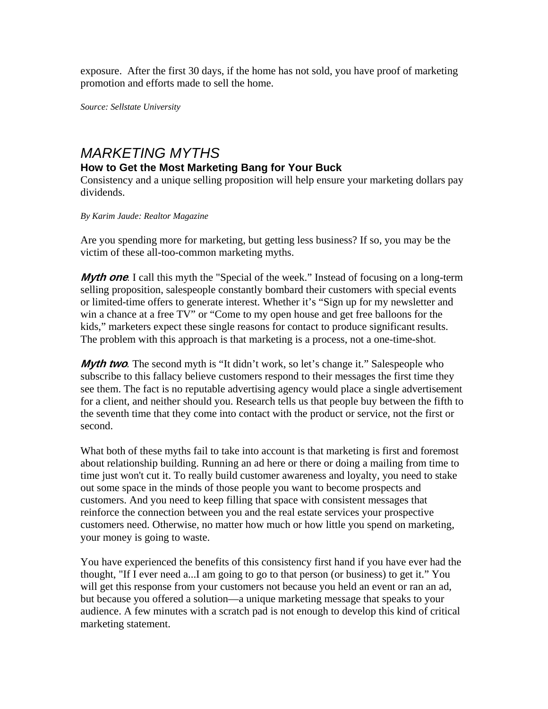exposure. After the first 30 days, if the home has not sold, you have proof of marketing promotion and efforts made to sell the home.

*Source: Sellstate University* 

# *MARKETING MYTHS*

#### **How to Get the Most Marketing Bang for Your Buck**

Consistency and a unique selling proposition will help ensure your marketing dollars pay dividends.

*By Karim Jaude: Realtor Magazine*

Are you spending more for marketing, but getting less business? If so, you may be the victim of these all-too-common marketing myths.

**Myth one** I call this myth the "Special of the week." Instead of focusing on a long-term selling proposition, salespeople constantly bombard their customers with special events or limited-time offers to generate interest. Whether it's "Sign up for my newsletter and win a chance at a free TV" or "Come to my open house and get free balloons for the kids," marketers expect these single reasons for contact to produce significant results. The problem with this approach is that marketing is a process, not a one-time-shot.

**Myth two**. The second myth is "It didn't work, so let's change it." Salespeople who subscribe to this fallacy believe customers respond to their messages the first time they see them. The fact is no reputable advertising agency would place a single advertisement for a client, and neither should you. Research tells us that people buy between the fifth to the seventh time that they come into contact with the product or service, not the first or second.

What both of these myths fail to take into account is that marketing is first and foremost about relationship building. Running an ad here or there or doing a mailing from time to time just won't cut it. To really build customer awareness and loyalty, you need to stake out some space in the minds of those people you want to become prospects and customers. And you need to keep filling that space with consistent messages that reinforce the connection between you and the real estate services your prospective customers need. Otherwise, no matter how much or how little you spend on marketing, your money is going to waste.

You have experienced the benefits of this consistency first hand if you have ever had the thought, "If I ever need a...I am going to go to that person (or business) to get it." You will get this response from your customers not because you held an event or ran an ad, but because you offered a solution—a unique marketing message that speaks to your audience. A few minutes with a scratch pad is not enough to develop this kind of critical marketing statement.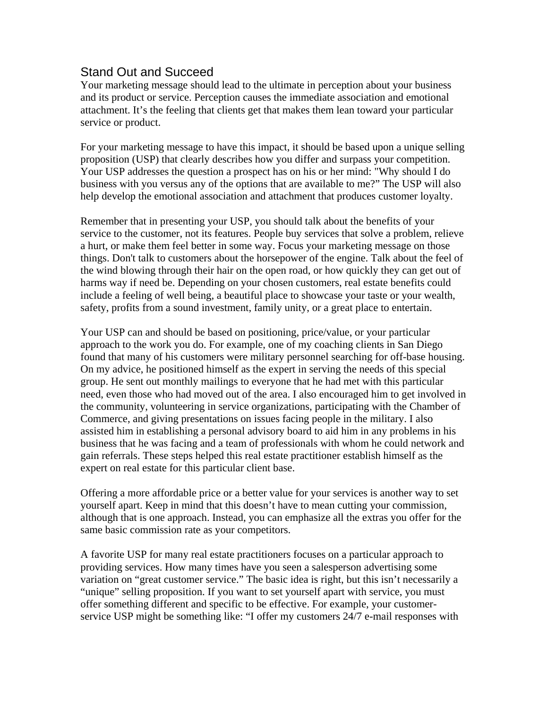### Stand Out and Succeed

Your marketing message should lead to the ultimate in perception about your business and its product or service. Perception causes the immediate association and emotional attachment. It's the feeling that clients get that makes them lean toward your particular service or product.

For your marketing message to have this impact, it should be based upon a unique selling proposition (USP) that clearly describes how you differ and surpass your competition. Your USP addresses the question a prospect has on his or her mind: "Why should I do business with you versus any of the options that are available to me?" The USP will also help develop the emotional association and attachment that produces customer loyalty.

Remember that in presenting your USP, you should talk about the benefits of your service to the customer, not its features. People buy services that solve a problem, relieve a hurt, or make them feel better in some way. Focus your marketing message on those things. Don't talk to customers about the horsepower of the engine. Talk about the feel of the wind blowing through their hair on the open road, or how quickly they can get out of harms way if need be. Depending on your chosen customers, real estate benefits could include a feeling of well being, a beautiful place to showcase your taste or your wealth, safety, profits from a sound investment, family unity, or a great place to entertain.

Your USP can and should be based on positioning, price/value, or your particular approach to the work you do. For example, one of my coaching clients in San Diego found that many of his customers were military personnel searching for off-base housing. On my advice, he positioned himself as the expert in serving the needs of this special group. He sent out monthly mailings to everyone that he had met with this particular need, even those who had moved out of the area. I also encouraged him to get involved in the community, volunteering in service organizations, participating with the Chamber of Commerce, and giving presentations on issues facing people in the military. I also assisted him in establishing a personal advisory board to aid him in any problems in his business that he was facing and a team of professionals with whom he could network and gain referrals. These steps helped this real estate practitioner establish himself as the expert on real estate for this particular client base.

Offering a more affordable price or a better value for your services is another way to set yourself apart. Keep in mind that this doesn't have to mean cutting your commission, although that is one approach. Instead, you can emphasize all the extras you offer for the same basic commission rate as your competitors.

A favorite USP for many real estate practitioners focuses on a particular approach to providing services. How many times have you seen a salesperson advertising some variation on "great customer service." The basic idea is right, but this isn't necessarily a "unique" selling proposition. If you want to set yourself apart with service, you must offer something different and specific to be effective. For example, your customerservice USP might be something like: "I offer my customers 24/7 e-mail responses with